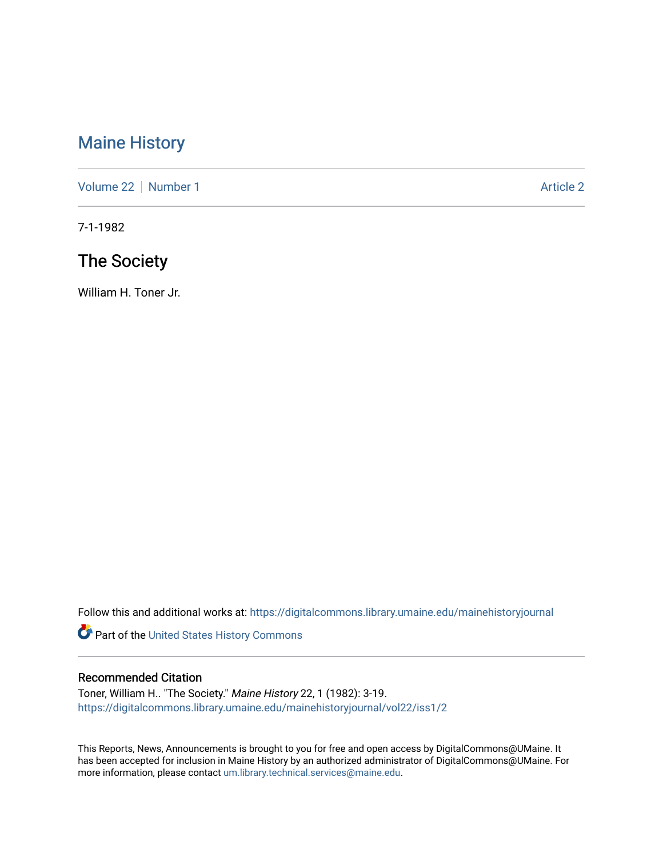## [Maine History](https://digitalcommons.library.umaine.edu/mainehistoryjournal)

[Volume 22](https://digitalcommons.library.umaine.edu/mainehistoryjournal/vol22) [Number 1](https://digitalcommons.library.umaine.edu/mainehistoryjournal/vol22/iss1) [Article 2](https://digitalcommons.library.umaine.edu/mainehistoryjournal/vol22/iss1/2) Article 2 Article 2

7-1-1982

# The Society

William H. Toner Jr.

Follow this and additional works at: [https://digitalcommons.library.umaine.edu/mainehistoryjournal](https://digitalcommons.library.umaine.edu/mainehistoryjournal?utm_source=digitalcommons.library.umaine.edu%2Fmainehistoryjournal%2Fvol22%2Fiss1%2F2&utm_medium=PDF&utm_campaign=PDFCoverPages) 

Part of the [United States History Commons](http://network.bepress.com/hgg/discipline/495?utm_source=digitalcommons.library.umaine.edu%2Fmainehistoryjournal%2Fvol22%2Fiss1%2F2&utm_medium=PDF&utm_campaign=PDFCoverPages) 

#### Recommended Citation

Toner, William H.. "The Society." Maine History 22, 1 (1982): 3-19. [https://digitalcommons.library.umaine.edu/mainehistoryjournal/vol22/iss1/2](https://digitalcommons.library.umaine.edu/mainehistoryjournal/vol22/iss1/2?utm_source=digitalcommons.library.umaine.edu%2Fmainehistoryjournal%2Fvol22%2Fiss1%2F2&utm_medium=PDF&utm_campaign=PDFCoverPages)

This Reports, News, Announcements is brought to you for free and open access by DigitalCommons@UMaine. It has been accepted for inclusion in Maine History by an authorized administrator of DigitalCommons@UMaine. For more information, please contact [um.library.technical.services@maine.edu](mailto:um.library.technical.services@maine.edu).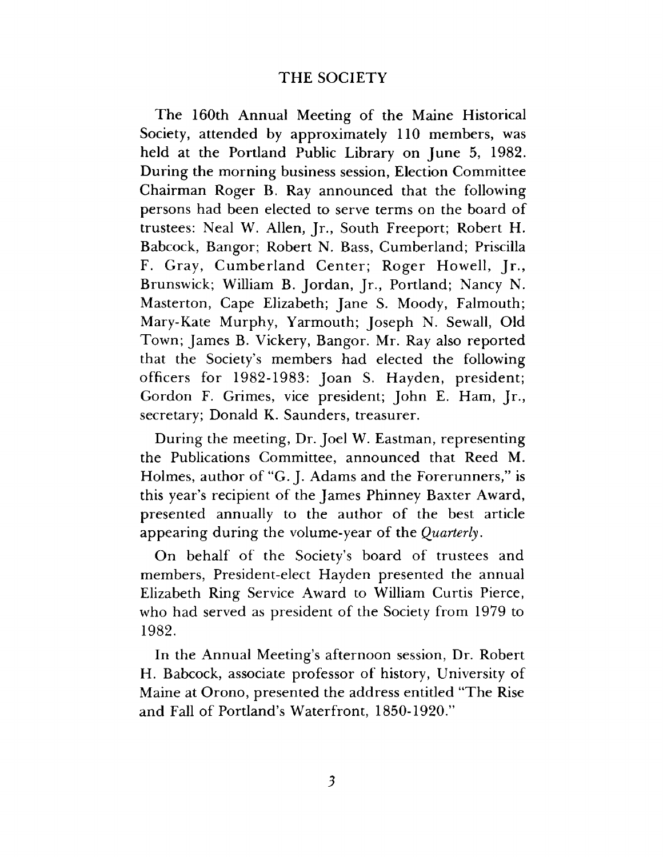## **THE SOCIETY**

The 160th Annual Meeting of the Maine Historical Society, attended by approximately 110 members, was held at the Portland Public Library on June 5, 1982. During the morning business session, Election Committee Chairman Roger B. Ray announced that the following persons had been elected to serve terms on the board of trustees: Neal W. Allen, Jr., South Freeport; Robert H. Babcock, Bangor; Robert N. Bass, Cumberland; Priscilla F. Gray, Cumberland Center; Roger Howell, Jr., Brunswick; William B. Jordan, Jr., Portland; Nancy N. Masterton, Cape Elizabeth; Jane S. Moody, Falmouth; Mary-Kate Murphy, Yarmouth; Joseph N. Sewall, Old Town; James B. Vickery, Bangor. Mr. Ray also reported that the Society's members had elected the following officers for 1982-1983: Joan S. Hayden, president; Gordon F. Grimes, vice president; John E. Ham, Jr., secretary; Donald K. Saunders, treasurer.

During the meeting, Dr. Joel W. Eastman, representing the Publications Committee, announced that Reed M. Holmes, author of "G. J. Adams and the Forerunners," is this year's recipient of the James Phinney Baxter Award, presented annually to the author of the best article appearing during the volume-year of the *Quarterly*.

On behalf of the Society's board of trustees and members, President-elect Hayden presented the annual Elizabeth Ring Service Award to William Curtis Pierce, who had served as president of the Society from 1979 to 1982.

In the Annual Meeting's afternoon session, Dr. Robert H. Babcock, associate professor of history, University of Maine at Orono, presented the address entitled "The Rise and Fall of Portland's Waterfront, 1850-1920."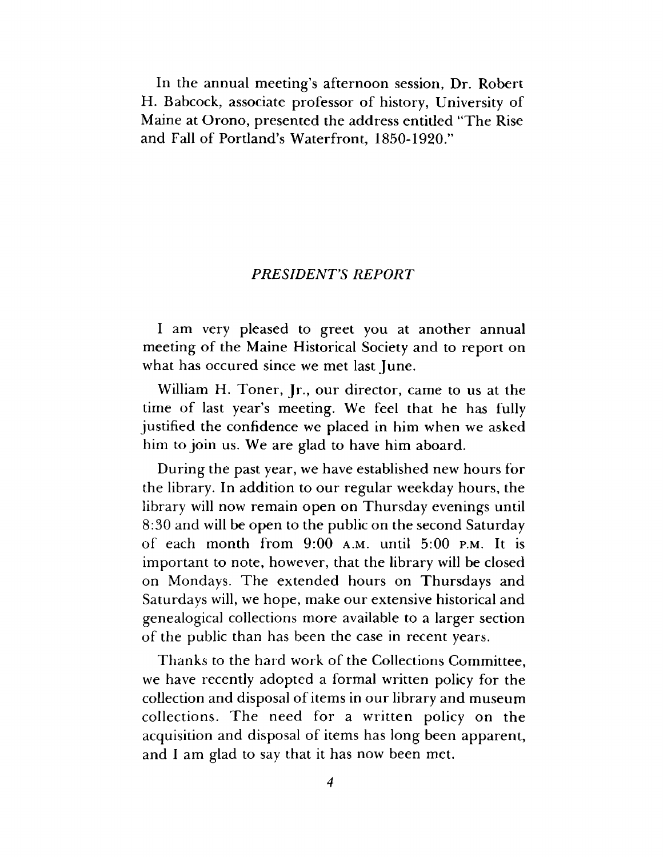In the annual meeting's afternoon session, Dr. Robert H. Babcock, associate professor of history, University of Maine at Orono, presented the address entitled "The Rise and Fall of Portland's Waterfront, 1850-1920."

#### *PRESIDENTS REPORT*

I am very pleased to greet you at another annual meeting of the Maine Historical Society and to report on what has occured since we met last June.

William H. Toner, Jr., our director, came to us at the time of last year's meeting. We feel that he has fully justified the confidence we placed in him when we asked him to join us. We are glad to have him aboard.

During the past year, we have established new hours for the library. In addition to our regular weekday hours, the library will now remain open on Thursday evenings until 8:30 and will be open to the public on the second Saturday of each month from  $9:00$  A.M. until  $5:00$  P.M. It is important to note, however, that the library will be closed on Mondays. The extended hours on Thursdays and Saturdays will, we hope, make our extensive historical and genealogical collections more available to a larger section of the public than has been the case in recent years.

Thanks to the hard work of the Collections Committee, we have recently adopted a formal written policy for the collection and disposal of items in our library and museum collections. The need for a written policy on the acquisition and disposal of items has long been apparent, and I am glad to say that it has now been met.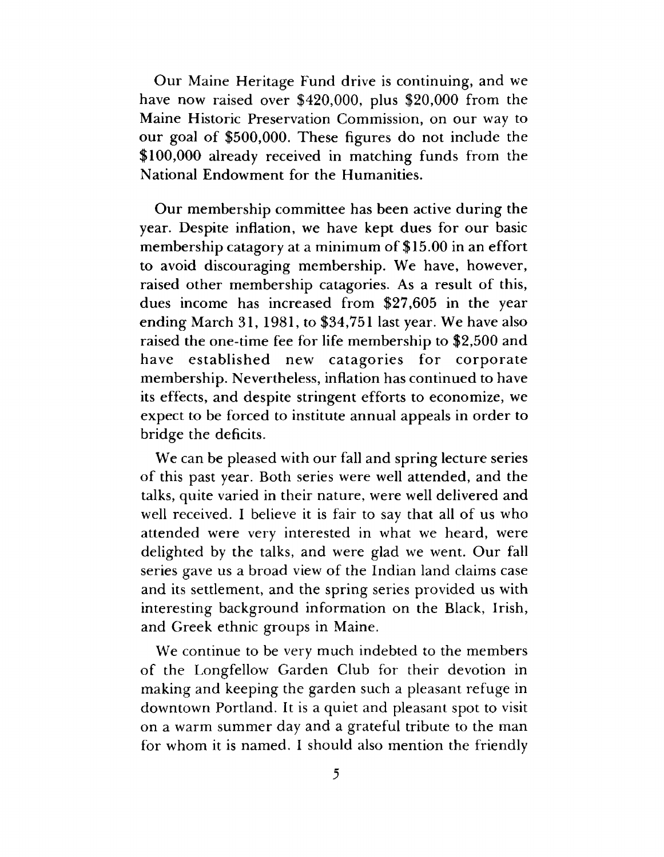Our Maine Heritage Fund drive is continuing, and we have now raised over \$420,000, plus \$20,000 from the Maine Historic Preservation Commission, on our way to our goal of \$500,000. These figures do not include the \$100,000 already received in matching funds from the National Endowment for the Humanities.

Our membership committee has been active during the year. Despite inflation, we have kept dues for our basic membership catagory at a minimum of \$15.00 in an effort to avoid discouraging membership. We have, however, raised other membership catagories. As a result of this, dues income has increased from \$27,605 in the year ending March 31, 1981, to \$34,751 last year. We have also raised the one-time fee for life membership to \$2,500 and have established new catagories for corporate membership. Nevertheless, inflation has continued to have its effects, and despite stringent efforts to economize, we expect to be forced to institute annual appeals in order to bridge the deficits.

We can be pleased with our fall and spring lecture series of this past year. Both series were well attended, and the talks, quite varied in their nature, were well delivered and well received. I believe it is fair to say that all of us who attended were very interested in what we heard, were delighted by the talks, and were glad we went. Our fall series gave us a broad view of the Indian land claims case and its settlement, and the spring series provided us with interesting background information on the Black, Irish, and Greek ethnic groups in Maine.

We continue to be very much indebted to the members of the Longfellow Garden Club for their devotion in making and keeping the garden such a pleasant refuge in downtown Portland. It is a quiet and pleasant spot to visit on a warm summer day and a grateful tribute to the man for whom it is named. I should also mention the friendly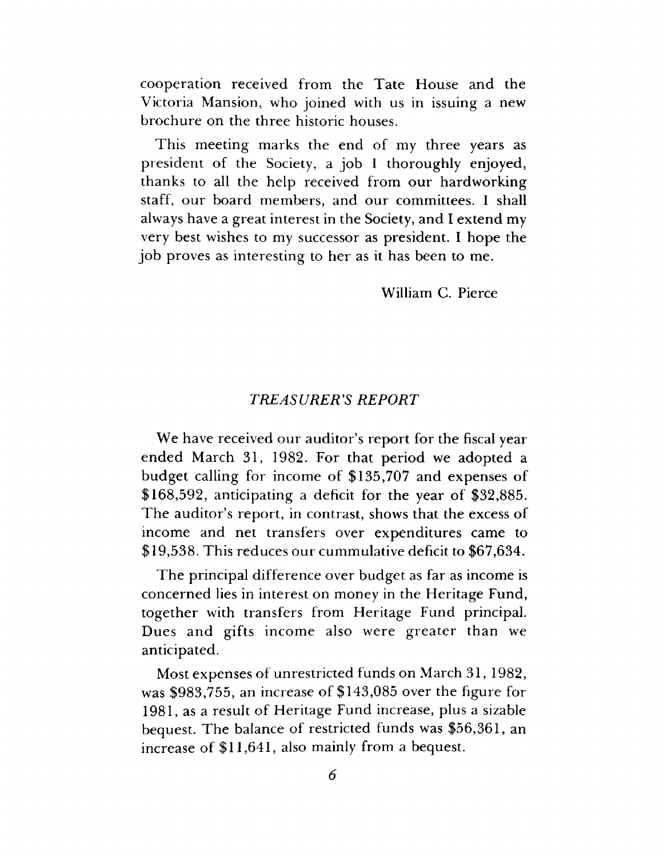cooperation received from the Tate House and the Victoria Mansion, who joined with us in issuing a new brochure on the three historic houses.

This meeting marks the end of my three years as president of the Society, a job I thoroughly enjoyed, thanks to all the help received from our hardworking staff, our board members, and our committees. I shall always have a great interest in the Society, and I extend my very best wishes to my successor as president. I hope the job proves as interesting to her as it has been to me.

William C. Pierce

## *TREASURER'S REPORT*

We have received our auditor's report for the fiscal year ended March 31, 1982. For that period we adopted a budget calling for income of \$135,707 and expenses of \$168,592, anticipating a deficit for the year of \$32,885. The auditor's report, in contrast, shows that the excess of income and net transfers over expenditures came to \$19,538. This reduces our cummulative deficit to \$67,634.

The principal difference over budget as far as income is concerned lies in interest on money in the Heritage Fund, together with transfers from Heritage Fund principal. Dues and gifts income also were greater than we anticipated.

Most expenses of unrestricted funds on March 31, 1982, was \$983,755, an increase of \$143,085 over the figure for 1981, as a result of Heritage Fund increase, plus a sizable bequest. The balance of restricted funds was \$56,361, an increase of \$11,641, also mainly from a bequest.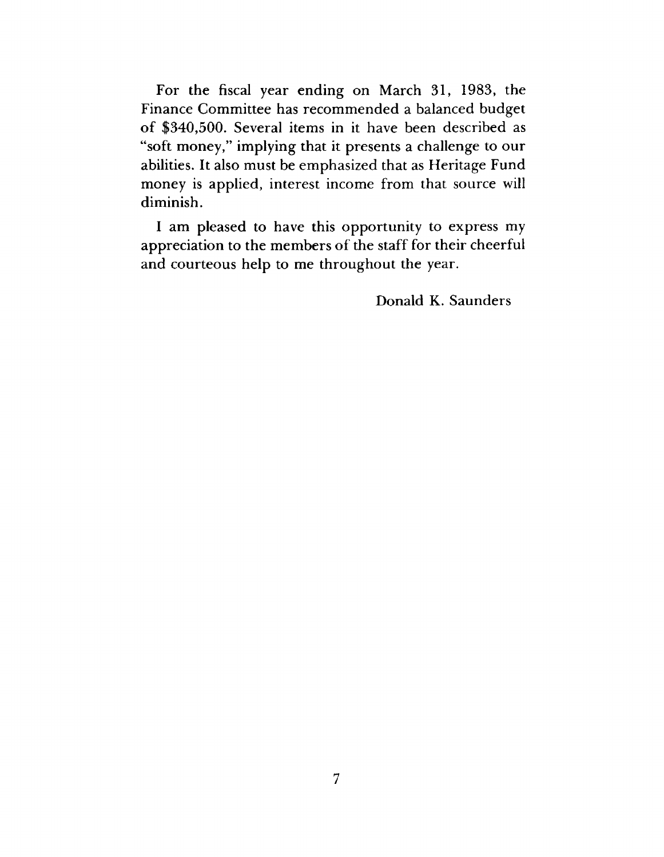For the fiscal year ending on March 31, 1983, the Finance Committee has recommended a balanced budget of \$340,500. Several items in it have been described as "soft money," implying that it presents a challenge to our abilities. It also must be emphasized that as Heritage Fund money is applied, interest income from that source will diminish.

I am pleased to have this opportunity to express my appreciation to the members of the staff for their cheerful and courteous help to me throughout the year.

Donald K. Saunders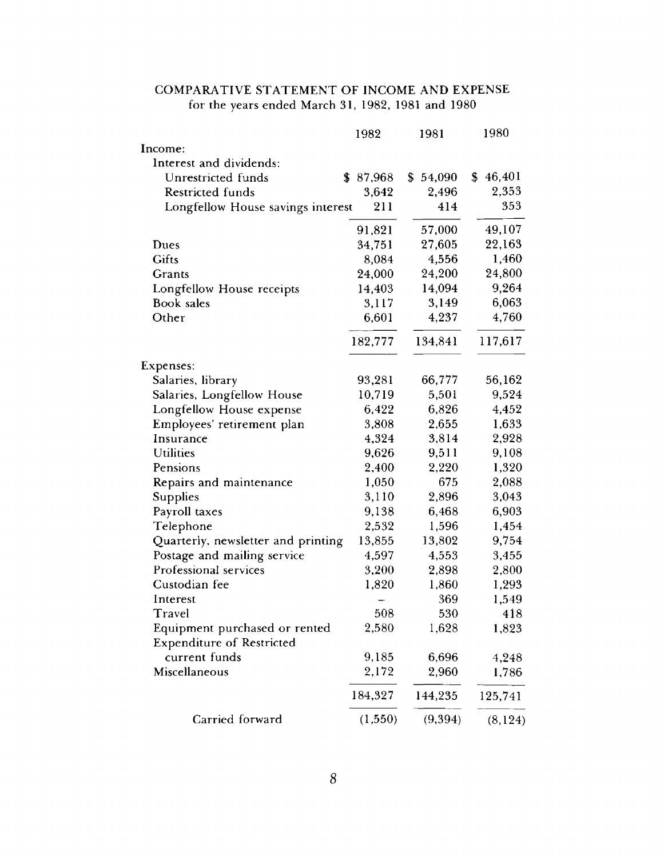## COMPARATIVE STATEMENT OF INCOME AND EXPENSE for the years ended March 31, 1982, 1981 and 1980

|                                                                   | 1982    | 1981         | 1980     |
|-------------------------------------------------------------------|---------|--------------|----------|
| Income:                                                           |         |              |          |
| Interest and dividends:                                           |         |              |          |
| Unrestricted funds                                                | 87,968  | 54,090<br>\$ | \$46,401 |
| <b>Restricted funds</b>                                           | 3,642   | 2,496        | 2,353    |
| Longfellow House savings interest                                 | 211     | 414          | 353      |
|                                                                   | 91,821  | 57,000       | 49,107   |
| Dues                                                              | 34,751  | 27,605       | 22,163   |
| Gifts                                                             | 8,084   | 4,556        | 1,460    |
| Grants                                                            | 24,000  | 24,200       | 24,800   |
| Longfellow House receipts                                         | 14,403  | 14,094       | 9,264    |
| <b>Book</b> sales                                                 | 3,117   | 3,149        | 6,063    |
| Other                                                             | 6,601   | 4,237        | 4,760    |
|                                                                   | 182,777 | 134,841      | 117,617  |
| Expenses:                                                         |         |              |          |
| Salaries, library                                                 | 93,281  | 66,777       | 56,162   |
| Salaries, Longfellow House                                        | 10,719  | 5,501        | 9,524    |
| Longfellow House expense                                          | 6,422   | 6,826        | 4,452    |
| Employees' retirement plan                                        | 3,808   | 2,655        | 1,633    |
| Insurance                                                         | 4,324   | 3,814        | 2,928    |
| <b>Utilities</b>                                                  | 9,626   | 9,511        | 9,108    |
| Pensions                                                          | 2,400   | 2,220        | 1,320    |
| Repairs and maintenance                                           | 1,050   | 675          | 2,088    |
| <b>Supplies</b>                                                   | 3,110   | 2,896        | 3,043    |
| Payroll taxes                                                     | 9,138   | 6,468        | 6,903    |
| Telephone                                                         | 2,532   | 1,596        | 1,454    |
| Quarterly, newsletter and printing                                | 13,855  | 13,802       | 9,754    |
| Postage and mailing service                                       | 4,597   | 4,553        | 3,455    |
| Professional services                                             | 3,200   | 2,898        | 2,800    |
| Custodian fee                                                     | 1,820   | 1,860        | 1,293    |
| Interest                                                          |         | 369          | 1,549    |
| Travel                                                            | 508     | 530          | 418      |
| Equipment purchased or rented<br><b>Expenditure of Restricted</b> | 2,580   | 1,628        | 1,823    |
| current funds                                                     | 9,185   | 6,696        | 4,248    |
| Miscellaneous                                                     | 2,172   | 2,960        | 1,786    |
|                                                                   | 184,327 | 144,235      | 125,741  |
| Carried forward                                                   | (1,550) | (9, 394)     | (8, 124) |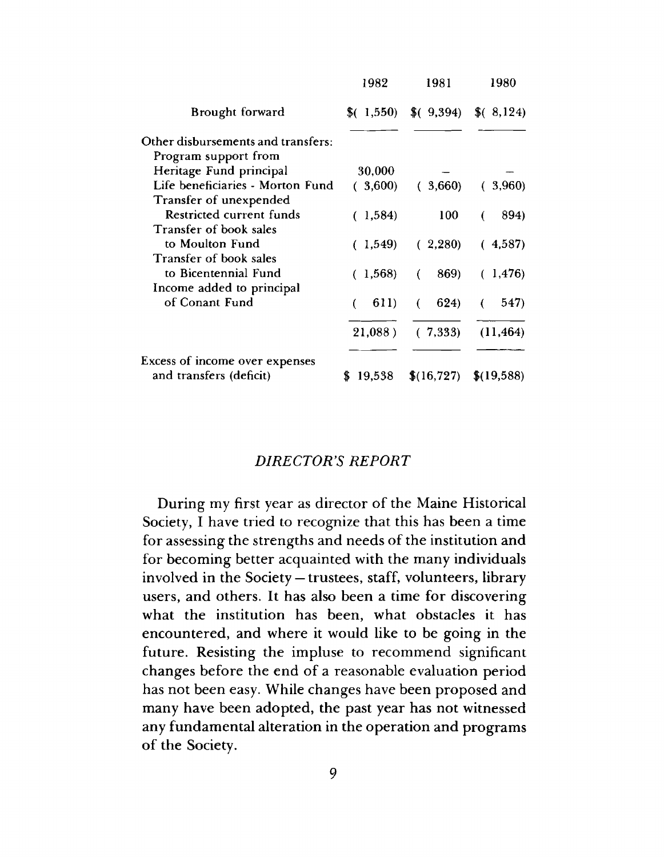|                                    | 1982    | 1981       | 1980       |
|------------------------------------|---------|------------|------------|
| Brought forward                    | (1,550) | (9,394)    | (8, 124)   |
| Other disbursements and transfers: |         |            |            |
| Program support from               |         |            |            |
| Heritage Fund principal            | 30,000  |            |            |
| Life beneficiaries - Morton Fund   | 3,600)  | (3,660)    | (3,960)    |
| Transfer of unexpended             |         |            |            |
| Restricted current funds           | (1,584) | 100        | 894)<br>€  |
| Transfer of book sales             |         |            |            |
| to Moulton Fund                    | (1,549) | (.2, 280)  | (4,587)    |
| Transfer of book sales             |         |            |            |
| to Bicentennial Fund               | (1,568) | 869)<br>€  | (1, 476)   |
| Income added to principal          |         |            |            |
| of Conant Fund                     | 611)    | 624)<br>€  | 547)<br>€  |
|                                    | 21,088) | (.7, 333)  | (11, 464)  |
| Excess of income over expenses     |         |            |            |
| and transfers (deficit)            | 19,538  | \$(16,727) | \$(19,588) |

### *DIRECTOR'S REPORT*

During my first year as director of the Maine Historical Society, I have tried to recognize that this has been a time for assessing the strengths and needs of the institution and for becoming better acquainted with the many individuals involved in the Society— trustees, staff, volunteers, library users, and others. It has also been a time for discovering what the institution has been, what obstacles it has encountered, and where it would like to be going in the future. Resisting the impluse to recommend significant changes before the end of a reasonable evaluation period has not been easy. While changes have been proposed and many have been adopted, the past year has not witnessed any fundamental alteration in the operation and programs of the Society.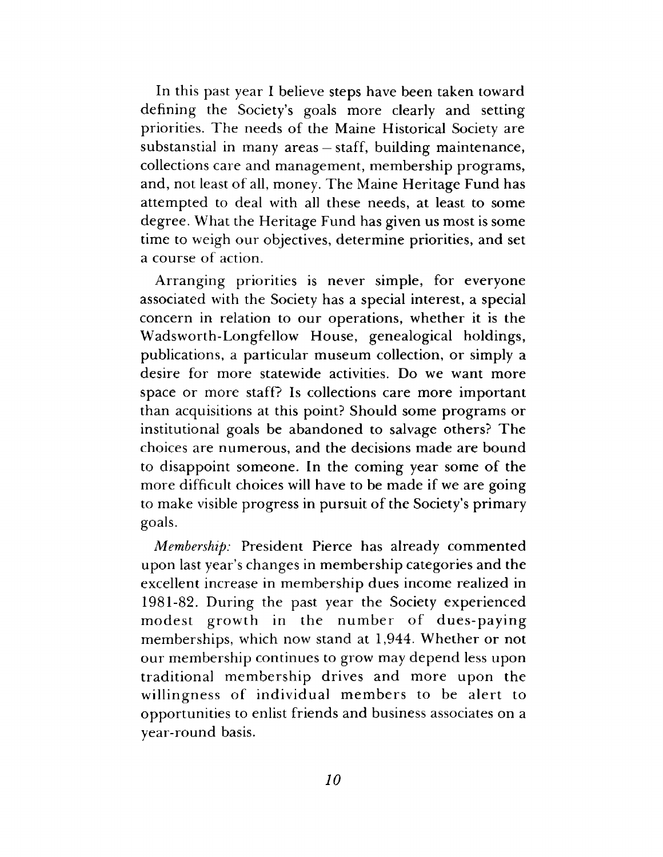In this past year I believe steps have been taken toward defining the Society's goals more clearly and setting priorities. The needs of the Maine Historical Society are substanstial in many areas — staff, building maintenance, collections care and management, membership programs, and, not least of all, money. The Maine Heritage Fund has attempted to deal with all these needs, at least to some degree. What the Heritage Fund has given us most is some time to weigh our objectives, determine priorities, and set a course of action.

Arranging priorities is never simple, for everyone associated with the Society has a special interest, a special concern in relation to our operations, whether it is the Wadsworth-Longfellow House, genealogical holdings, publications, a particular museum collection, or simply a desire for more statewide activities. Do we want more space or more staff? Is collections care more important than acquisitions at this point? Should some programs or institutional goals be abandoned to salvage others? The choices are numerous, and the decisions made are bound to disappoint someone. In the coming year some of the more difficult choices will have to be made if we are going to make visible progress in pursuit of the Society's primary goals.

*Membership:* President Pierce has already commented upon last year's changes in membership categories and the excellent increase in membership dues income realized in 1981-82. During the past year the Society experienced modest growth in the number of dues-paying memberships, which now stand at 1,944. Whether or not our membership continues to grow may depend less upon traditional membership drives and more upon the willingness of individual members to be alert to opportunities to enlist friends and business associates on a year-round basis.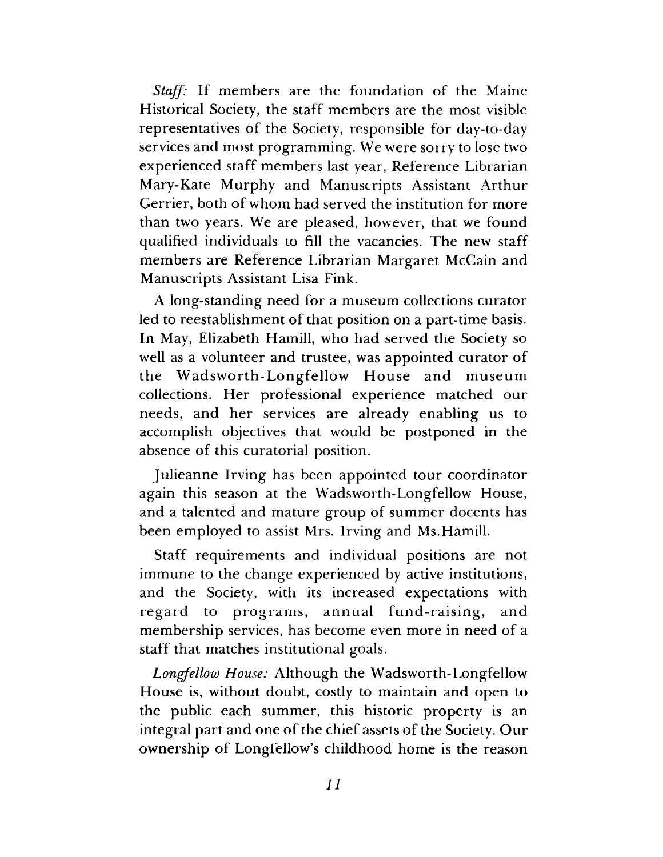*Staff:* If members are the foundation of the Maine Historical Society, the staff members are the most visible representatives of the Society, responsible for day-to-day services and most programming. We were sorry to lose two experienced staff members last year, Reference Librarian Mary-Kate Murphy and Manuscripts Assistant Arthur Gerrier, both of whom had served the institution for more than two years. We are pleased, however, that we found qualified individuals to fill the vacancies. The new staff members are Reference Librarian Margaret McCain and Manuscripts Assistant Lisa Fink.

A long-standing need for a museum collections curator led to reestablishment of that position on a part-time basis. In May, Elizabeth Hamill, who had served the Society so well as a volunteer and trustee, was appointed curator of the Wadsworth-Longfellow House and museum collections. Her professional experience matched our needs, and her services are already enabling us to accomplish objectives that would be postponed in the absence of this curatorial position.

Julieanne Irving has been appointed tour coordinator again this season at the Wadsworth-Longfellow House, and a talented and mature group of summer docents has been employed to assist Mrs. Irving and Ms.Hamill.

Staff requirements and individual positions are not immune to the change experienced by active institutions, and the Society, with its increased expectations with regard to programs, annual fund-raising, and membership services, has become even more in need of a staff that matches institutional goals.

*Longfellow House:* Although the Wadsworth-Longfellow House is, without doubt, costly to maintain and open to the public each summer, this historic property is an integral part and one of the chief assets of the Society. Our ownership of Longfellow's childhood home is the reason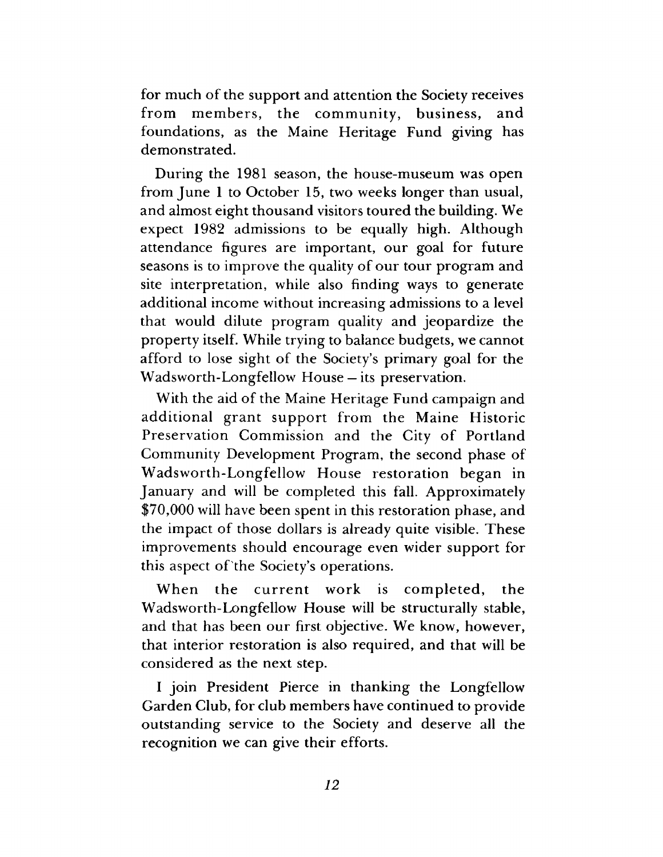for much of the support and attention the Society receives from members, the community, business, and foundations, as the Maine Heritage Fund giving has demonstrated.

During the 1981 season, the house-museum was open from June 1 to October 15, two weeks longer than usual, and almost eight thousand visitors toured the building. We expect 1982 admissions to be equally high. Although attendance figures are important, our goal for future seasons is to improve the quality of our tour program and site interpretation, while also finding ways to generate additional income without increasing admissions to a level that would dilute program quality and jeopardize the property itself. While trying to balance budgets, we cannot afford to lose sight of the Society's primary goal for the Wadsworth-Longfellow House —its preservation.

With the aid of the Maine Heritage Fund campaign and additional grant support from the Maine Historic Preservation Commission and the City of Portland Community Development Program, the second phase of Wadsworth-Longfellow House restoration began in January and will be completed this fall. Approximately \$70,000 will have been spent in this restoration phase, and the impact of those dollars is already quite visible. These improvements should encourage even wider support for this aspect of the Society's operations.

When the current work is completed, the Wadsworth-Longfellow House will be structurally stable, and that has been our first objective. We know, however, that interior restoration is also required, and that will be considered as the next step.

I join President Pierce in thanking the Longfellow Garden Club, for club members have continued to provide outstanding service to the Society and deserve all the recognition we can give their efforts.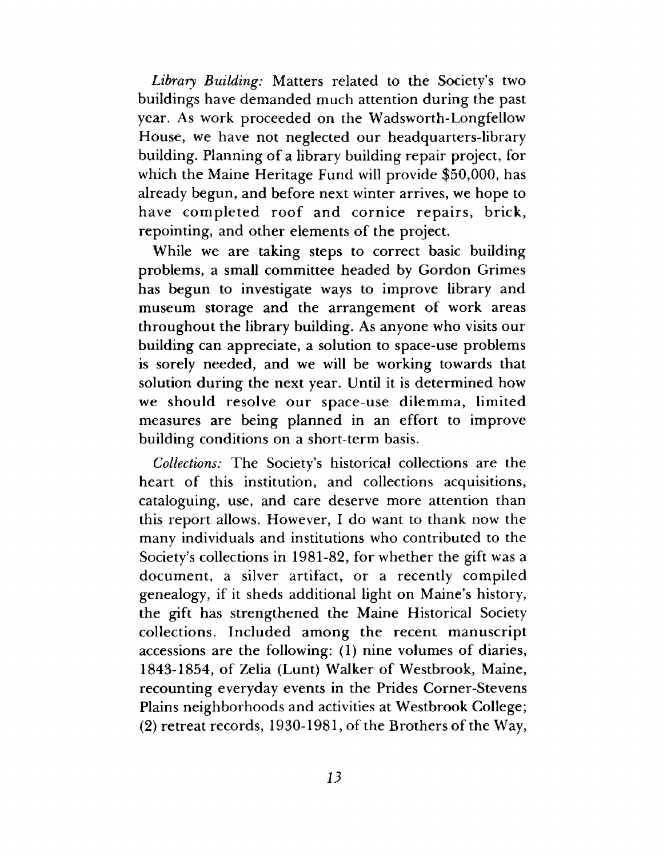*Library Building:* Matters related to the Society's two buildings have demanded much attention during the past year. As work proceeded on the Wadsworth-Longfellow House, we have not neglected our headquarters-library building. Planning of a library building repair project, for which the Maine Heritage Fund will provide \$50,000, has already begun, and before next winter arrives, we hope to have completed roof and cornice repairs, brick, repointing, and other elements of the project.

While we are taking steps to correct basic building problems, a small committee headed by Gordon Grimes has begun to investigate ways to improve library and museum storage and the arrangement of work areas throughout the library building. As anyone who visits our building can appreciate, a solution to space-use problems is sorely needed, and we will be working towards that solution during the next year. Until it is determined how we should resolve our space-use dilemma, limited measures are being planned in an effort to improve building conditions on a short-term basis.

*Collections:* The Society's historical collections are the heart of this institution, and collections acquisitions, cataloguing, use, and care deserve more attention than this report allows. However, I do want to thank now the many individuals and institutions who contributed to the Society's collections in 1981-82, for whether the gift was a document, a silver artifact, or a recently compiled genealogy, if it sheds additional light on Maine's history, the gift has strengthened the Maine Historical Society collections. Included among the recent manuscript accessions are the following: (1) nine volumes of diaries, 1843-1854, of Zelia (Lunt) Walker of Westbrook, Maine, recounting everyday events in the Prides Corner-Stevens Plains neighborhoods and activities at Westbrook College; (2) retreat records, 1930-1981, of the Brothers of the Way,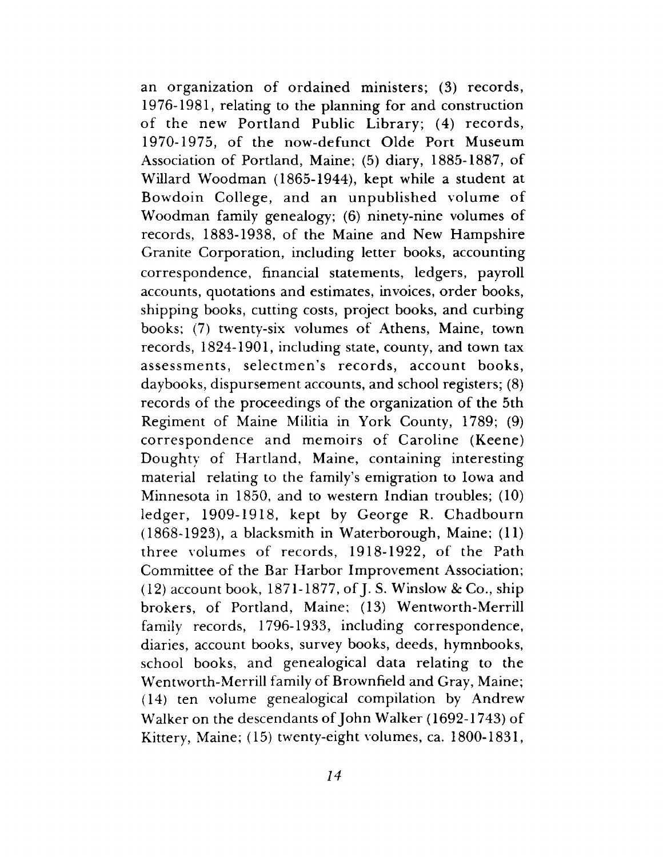an organization of ordained ministers; (3) records, 1976-1981, relating to the planning for and construction of the new Portland Public Library; (4) records, 1970-1975, of the now-defunct Olde Port Museum Association of Portland, Maine; (5) diary, 1885-1887, of Willard Woodman (1865-1944), kept while a student at Bowdoin College, and an unpublished volume of Woodman family genealogy; (6) ninety-nine volumes of records, 1883-1938, of the Maine and New Hampshire Granite Corporation, including letter books, accounting correspondence, financial statements, ledgers, payroll accounts, quotations and estimates, invoices, order books, shipping books, cutting costs, project books, and curbing books; (7) twenty-six volumes of Athens, Maine, town records, 1824-1901, including state, county, and town tax assessments, selectmen's records, account books, daybooks, dispursement accounts, and school registers; (8) records of the proceedings of the organization of the 5th Regiment of Maine Militia in York County, 1789; (9) correspondence and memoirs of Caroline (Keene) Doughty of Hartland, Maine, containing interesting material relating to the family's emigration to Iowa and Minnesota in 1850, and to western Indian troubles; (10) ledger, 1909-1918, kept by George R. Chadbourn (1868-1923), a blacksmith in Waterborough, Maine; (11) three volumes of records, 1918-1922, of the Path Committee of the Bar Harbor Improvement Association; (12) account book, 1871-1877, of J. S. Winslow & Co., ship brokers, of Portland, Maine; (13) Wentworth-Merrill family records, 1796-1933, including correspondence, diaries, account books, survey books, deeds, hymnbooks, school books, and genealogical data relating to the Wentworth-Merrill family of Brownfield and Gray, Maine; (14) ten volume genealogical compilation by Andrew Walker on the descendants of John Walker (1692-1743) of Kittery, Maine; (15) twenty-eight volumes, ca. 1800-1831,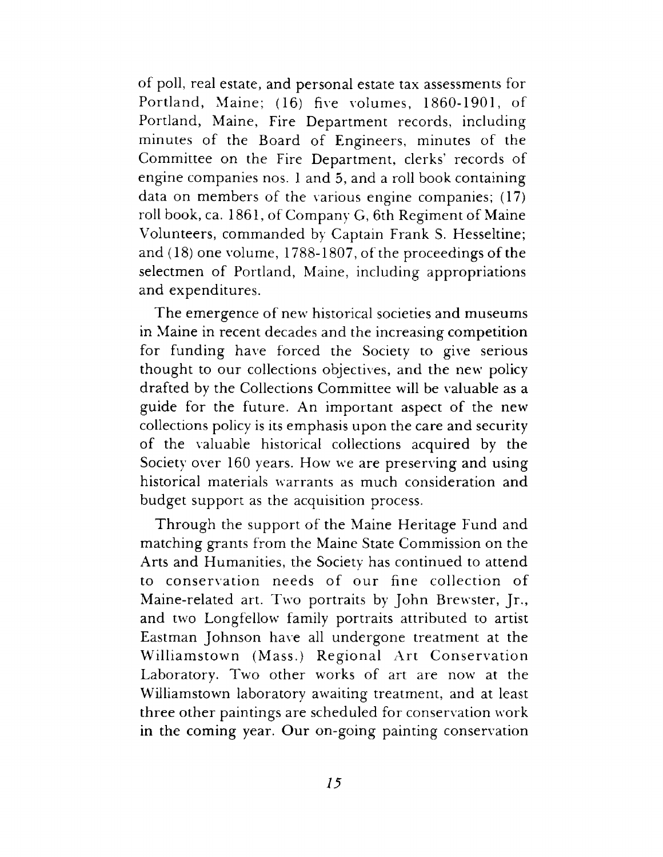of poll, real estate, and personal estate tax assessments for Portland, Maine; (16) five volumes, 1860-1901, of Portland, Maine, Fire Department records, including minutes of the Board of Engineers, minutes of the Committee on the Fire Department, clerks' records of engine companies nos. 1 and 5, and a roll book containing data on members of the various engine companies; (17) roll book, ca. 1861, of Company G, 6th Regiment of Maine Volunteers, commanded by Captain Frank S. Hesseltine; and (18) one volume, 1788-1807, of the proceedings of the selectmen of Portland, Maine, including appropriations and expenditures.

The emergence of new historical societies and museums in Maine in recent decades and the increasing competition for funding have forced the Society to give serious thought to our collections objectives, and the new policy drafted by the Collections Committee will be valuable as a guide for the future. An important aspect of the new collections policy is its emphasis upon the care and security of the valuable historical collections acquired by the Society over 160 years. How we are preserving and using historical materials warrants as much consideration and budget support as the acquisition process.

Through the support of the Maine Heritage Fund and matching grants from the Maine State Commission on the Arts and Humanities, the Society has continued to attend to conservation needs of our fine collection of Maine-related art. Two portraits by John Brewster, Jr., and two Longfellow family portraits attributed to artist Eastman Johnson have all undergone treatment at the Williamstown (Mass.) Regional Art Conservation Laboratory. Two other works of art are now at the Williamstown laboratory awaiting treatment, and at least three other paintings are scheduled for conservation work in the coming year. Our on-going painting conservation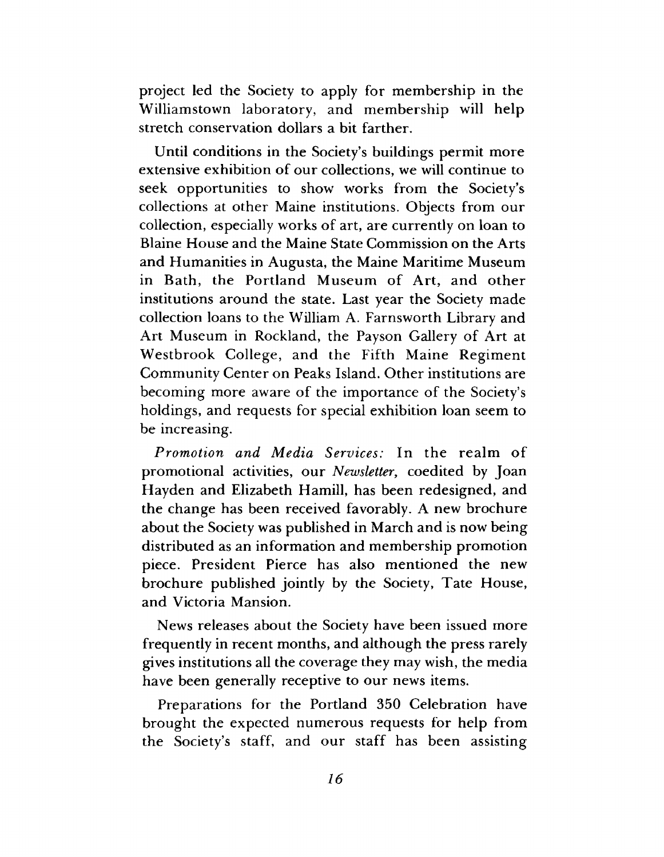project led the Society to apply for membership in the Williamstown laboratory, and membership will help stretch conservation dollars a bit farther.

Until conditions in the Society's buildings permit more extensive exhibition of our collections, we will continue to seek opportunities to show works from the Society's collections at other Maine institutions. Objects from our collection, especially works of art, are currently on loan to Blaine House and the Maine State Commission on the Arts and Humanities in Augusta, the Maine Maritime Museum in Bath, the Portland Museum of Art, and other institutions around the state. Last year the Society made collection loans to the William A, Farnsworth Library and Art Museum in Rockland, the Payson Gallery of Art at Westbrook College, and the Fifth Maine Regiment Community Center on Peaks Island. Other institutions are becoming more aware of the importance of the Society's holdings, and requests for special exhibition loan seem to be increasing.

*Promotion and Media Services:* In the realm of promotional activities, our *Newsletter*, coedited by Joan Hayden and Elizabeth Hamill, has been redesigned, and the change has been received favorably. A new brochure about the Society was published in March and is now being distributed as an information and membership promotion piece. President Pierce has also mentioned the new brochure published jointly by the Society, Tate House, and Victoria Mansion.

News releases about the Society have been issued more frequently in recent months, and although the press rarely gives institutions all the coverage they may wish, the media have been generally receptive to our news items.

Preparations for the Portland 350 Celebration have brought the expected numerous requests for help from the Society's staff, and our staff has been assisting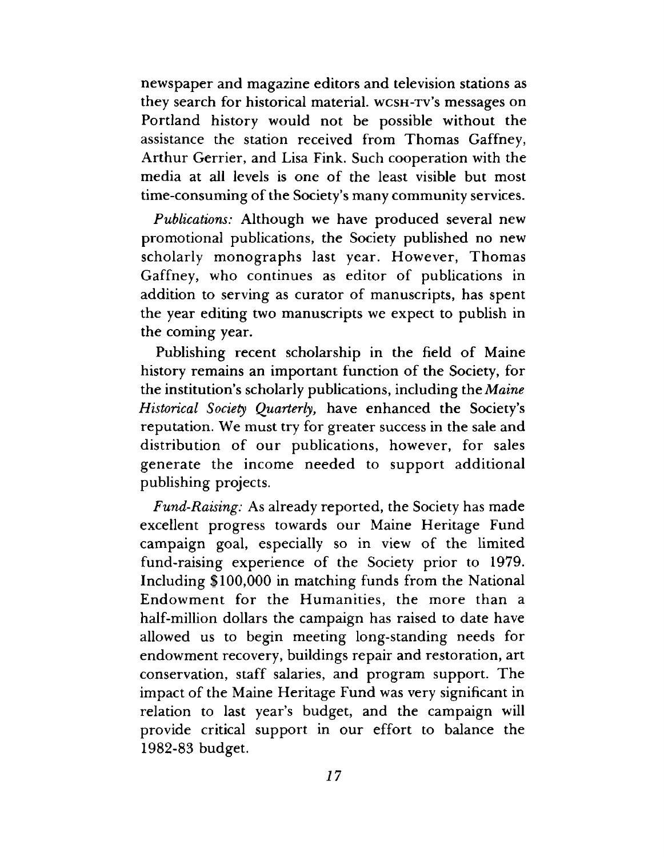newspaper and magazine editors and television stations as they search for historical material, wcsh-tv's messages on Portland history would not be possible without the assistance the station received from Thomas Gaffney, Arthur Gerrier, and Lisa Fink. Such cooperation with the media at all levels is one of the least visible but most time-consuming of the Society's many community services.

*Publications:* Although we have produced several new promotional publications, the Society published no new scholarly monographs last year. However, Thomas Gaffney, who continues as editor of publications in addition to serving as curator of manuscripts, has spent the year editing two manuscripts we expect to publish in the coming year.

Publishing recent scholarship in the field of Maine history remains an important function of the Society, for the institution's scholarly publications, including the *Maine Historical Society Quarterly,* have enhanced the Society's reputation. We must try for greater success in the sale and distribution of our publications, however, for sales generate the income needed to support additional publishing projects.

*Fund-Raising:* As already reported, the Society has made excellent progress towards our Maine Heritage Fund campaign goal, especially so in view of the limited fund-raising experience of the Society prior to 1979. Including \$100,000 in matching funds from the National Endowment for the Humanities, the more than a half-million dollars the campaign has raised to date have allowed us to begin meeting long-standing needs for endowment recovery, buildings repair and restoration, art conservation, staff salaries, and program support. The impact of the Maine Heritage Fund was very significant in relation to last year's budget, and the campaign will provide critical support in our effort to balance the 1982-83 budget.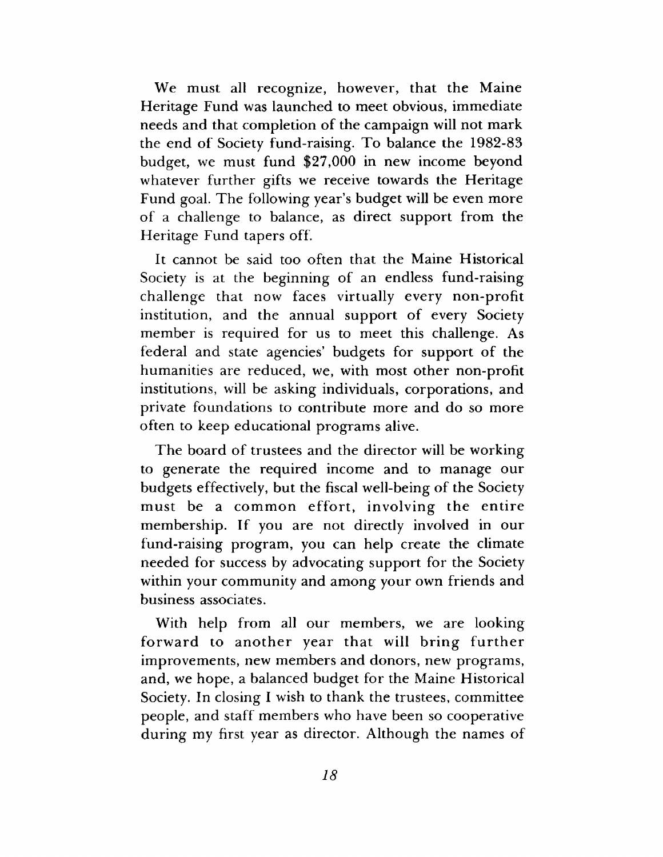We must all recognize, however, that the Maine Heritage Fund was launched to meet obvious, immediate needs and that completion of the campaign will not mark the end of Society fund-raising. To balance the 1982-83 budget, we must fund \$27,000 in new income beyond whatever further gifts we receive towards the Heritage Fund goal. The following year's budget will be even more of a challenge to balance, as direct support from the Heritage Fund tapers off.

It cannot be said too often that the Maine Historical Society is at the beginning of an endless fund-raising challenge that now faces virtually every non-profit institution, and the annual support of every Society member is required for us to meet this challenge. As federal and state agencies' budgets for support of the humanities are reduced, we, with most other non-profit institutions, will be asking individuals, corporations, and private foundations to contribute more and do so more often to keep educational programs alive.

The board of trustees and the director will be working to generate the required income and to manage our budgets effectively, but the fiscal well-being of the Society must be a common effort, involving the entire membership. If you are not directly involved in our fund-raising program, you can help create the climate needed for success by advocating support for the Society within your community and among your own friends and business associates.

With help from all our members, we are looking forward to another year that will bring further improvements, new members and donors, new programs, and, we hope, a balanced budget for the Maine Historical Society. In closing I wish to thank the trustees, committee people, and staff members who have been so cooperative during my first year as director. Although the names of